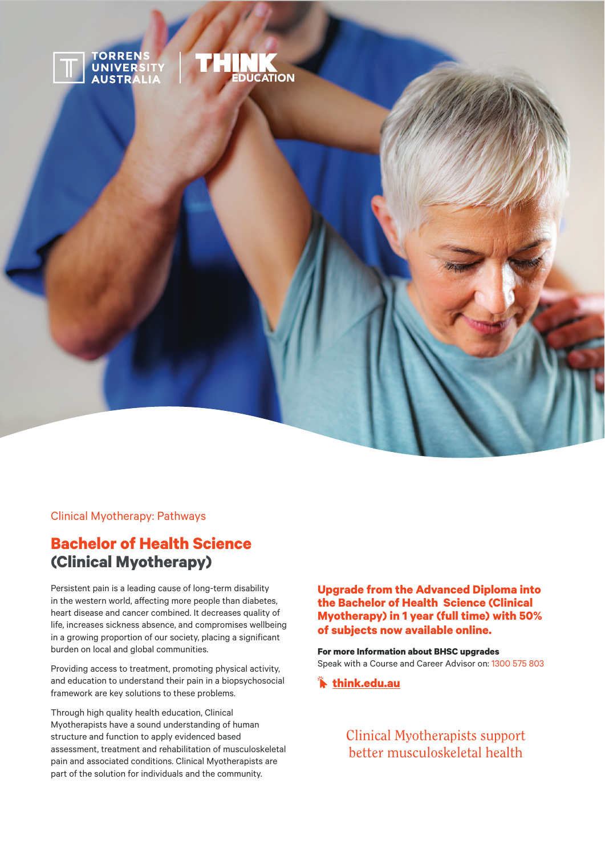

Clinical Myotherapy: Pathways

# **Bachelor of Health Science (Clinical Myotherapy)**

Persistent pain is a leading cause of long-term disability in the western world, affecting more people than diabetes, heart disease and cancer combined. It decreases quality of life, increases sickness absence, and compromises wellbeing in a growing proportion of our society, placing a significant burden on local and global communities.

Providing access to treatment, promoting physical activity, and education to understand their pain in a biopsychosocial framework are key solutions to these problems.

Through high quality health education, Clinical Myotherapists have a sound understanding of human structure and function to apply evidenced based assessment, treatment and rehabilitation of musculoskeletal pain and associated conditions. Clinical Myotherapists are part of the solution for individuals and the community.

**Upgrade from the Advanced Diploma into the Bachelor of Health Science (Clinical Myotherapy) in 1 year (full time) with 50% of subjects now available online.** 

**For more Information about BHSC upgrades** Speak with a Course and Career Advisor on: 1300 575 803

 **think.edu.au**

Clinical Myotherapists support better musculoskeletal health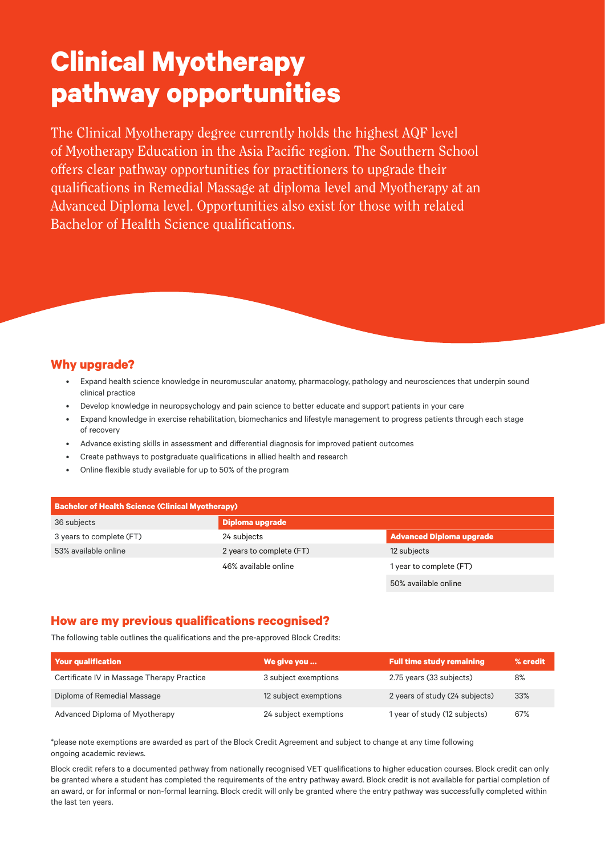# **Clinical Myotherapy pathway opportunities**

The Clinical Myotherapy degree currently holds the highest AQF level of Myotherapy Education in the Asia Pacific region. The Southern School offers clear pathway opportunities for practitioners to upgrade their qualifications in Remedial Massage at diploma level and Myotherapy at an Advanced Diploma level. Opportunities also exist for those with related Bachelor of Health Science qualifications.

# **Why upgrade?**

- Expand health science knowledge in neuromuscular anatomy, pharmacology, pathology and neurosciences that underpin sound clinical practice
- Develop knowledge in neuropsychology and pain science to better educate and support patients in your care
- Expand knowledge in exercise rehabilitation, biomechanics and lifestyle management to progress patients through each stage of recovery
- Advance existing skills in assessment and differential diagnosis for improved patient outcomes
- Create pathways to postgraduate qualifications in allied health and research
- Online flexible study available for up to 50% of the program

| <b>Bachelor of Health Science (Clinical Myotherapy)</b> |                                         |                         |  |  |
|---------------------------------------------------------|-----------------------------------------|-------------------------|--|--|
| 36 subjects                                             | Diploma upgrade                         |                         |  |  |
| 3 years to complete (FT)                                | Advanced Diploma upgrade<br>24 subjects |                         |  |  |
| 53% available online                                    | 2 years to complete (FT)<br>12 subjects |                         |  |  |
|                                                         | 46% available online                    | 1 year to complete (FT) |  |  |
|                                                         |                                         | 50% available online    |  |  |

## **How are my previous qualifications recognised?**

The following table outlines the qualifications and the pre-approved Block Credits:

| <b>Your qualification</b>                  | We give you           | <b>Full time study remaining</b> | % credit |
|--------------------------------------------|-----------------------|----------------------------------|----------|
| Certificate IV in Massage Therapy Practice | 3 subject exemptions  | 2.75 years (33 subjects)         | 8%       |
| Diploma of Remedial Massage                | 12 subject exemptions | 2 years of study (24 subjects)   | 33%      |
| Advanced Diploma of Myotherapy             | 24 subject exemptions | 1 year of study (12 subjects)    | 67%      |

\*please note exemptions are awarded as part of the Block Credit Agreement and subject to change at any time following ongoing academic reviews.

Block credit refers to a documented pathway from nationally recognised VET qualifications to higher education courses. Block credit can only be granted where a student has completed the requirements of the entry pathway award. Block credit is not available for partial completion of an award, or for informal or non-formal learning. Block credit will only be granted where the entry pathway was successfully completed within the last ten years.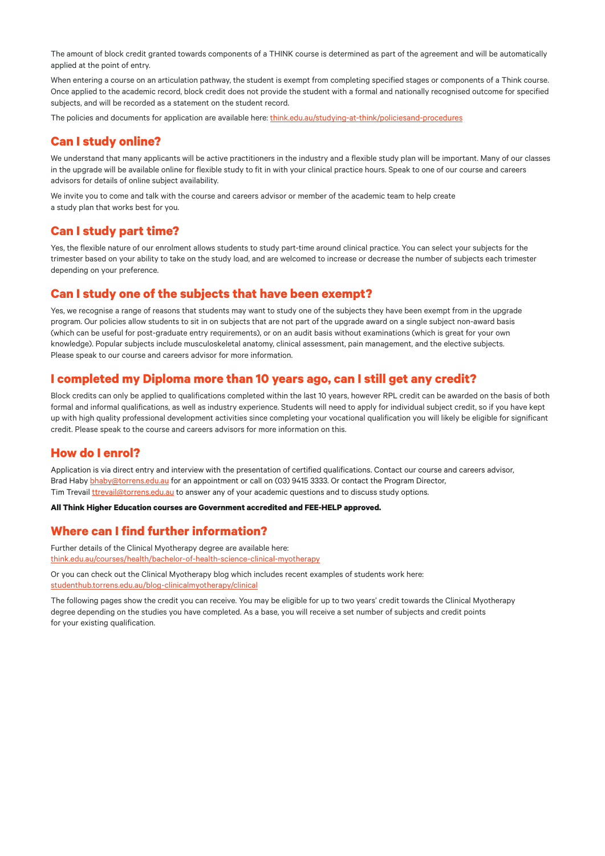The amount of block credit granted towards components of a THINK course is determined as part of the agreement and will be automatically applied at the point of entry.

When entering a course on an articulation pathway, the student is exempt from completing specified stages or components of a Think course. Once applied to the academic record, block credit does not provide the student with a formal and nationally recognised outcome for specified subjects, and will be recorded as a statement on the student record.

The policies and documents for application are available here: t[hink.edu.au/studying-at-think/policiesand-procedures](http://www.think.edu.au/studying-at-think/policiesand-procedures)

#### **Can I study online?**

We understand that many applicants will be active practitioners in the industry and a flexible study plan will be important. Many of our classes in the upgrade will be available online for flexible study to fit in with your clinical practice hours. Speak to one of our course and careers advisors for details of online subject availability.

We invite you to come and talk with the course and careers advisor or member of the academic team to help create a study plan that works best for you.

## **Can I study part time?**

Yes, the flexible nature of our enrolment allows students to study part-time around clinical practice. You can select your subjects for the trimester based on your ability to take on the study load, and are welcomed to increase or decrease the number of subjects each trimester depending on your preference.

## **Can I study one of the subjects that have been exempt?**

Yes, we recognise a range of reasons that students may want to study one of the subjects they have been exempt from in the upgrade program. Our policies allow students to sit in on subjects that are not part of the upgrade award on a single subject non-award basis (which can be useful for post-graduate entry requirements), or on an audit basis without examinations (which is great for your own knowledge). Popular subjects include musculoskeletal anatomy, clinical assessment, pain management, and the elective subjects. Please speak to our course and careers advisor for more information.

## **I completed my Diploma more than 10 years ago, can I still get any credit?**

Block credits can only be applied to qualifications completed within the last 10 years, however RPL credit can be awarded on the basis of both formal and informal qualifications, as well as industry experience. Students will need to apply for individual subject credit, so if you have kept up with high quality professional development activities since completing your vocational qualification you will likely be eligible for significant credit. Please speak to the course and careers advisors for more information on this.

## **How do I enrol?**

Application is via direct entry and interview with the presentation of certified qualifications. Contact our course and careers advisor, Brad Haby [bhaby@torrens.edu.au](mailto:bhaby%40torrens.edu.au?subject=) for an appointment or call on (03) 9415 3333. Or contact the Program Director, Tim Trevail [ttrevail@torrens.edu.au](mailto:ttrevail%40torrens.edu.au?subject=) to answer any of your academic questions and to discuss study options.

**All Think Higher Education courses are Government accredited and FEE-HELP approved.**

## **Where can I find further information?**

Further details of the Clinical Myotherapy degree are available here: [think.edu.au/courses/health/bachelor-of-health-science-clinical-myotherapy](http://www.think.edu.au/courses/health/bachelor-of-health-science-clinical-myotherapy )

Or you can check out the Clinical Myotherapy blog which includes recent examples of students work here: [studenthub.torrens.edu.au/blog-clinicalmyotherapy/clinical](https://studenthub.torrens.edu.au/blog-clinicalmyotherapy/clinical )

The following pages show the credit you can receive. You may be eligible for up to two years' credit towards the Clinical Myotherapy degree depending on the studies you have completed. As a base, you will receive a set number of subjects and credit points for your existing qualification.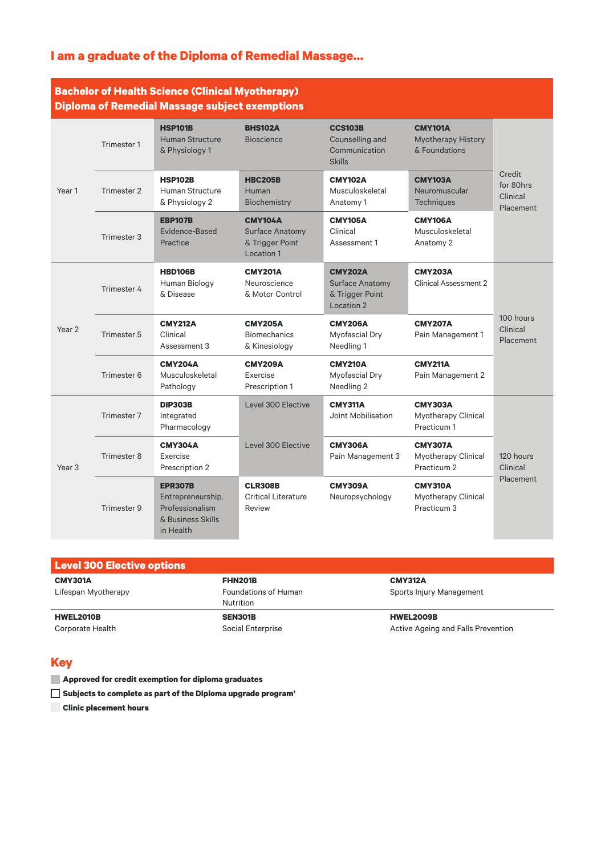# **I am a graduate of the Diploma of Remedial Massage…**

## **Bachelor of Health Science (Clinical Myotherapy) Diploma of Remedial Massage subject exemptions**

|                   |             | Pipivina vi Kuniualai massagu sabjuut ukuniptiviis                                       |                                                                           |                                                                     |                                                              |                                              |
|-------------------|-------------|------------------------------------------------------------------------------------------|---------------------------------------------------------------------------|---------------------------------------------------------------------|--------------------------------------------------------------|----------------------------------------------|
| Year <sub>1</sub> | Trimester 1 | <b>HSP101B</b><br><b>Human Structure</b><br>& Physiology 1                               | <b>BHS102A</b><br><b>Bioscience</b>                                       | <b>CCS103B</b><br>Counselling and<br>Communication<br><b>Skills</b> | <b>CMY101A</b><br><b>Myotherapy History</b><br>& Foundations | Credit<br>for 80hrs<br>Clinical<br>Placement |
|                   | Trimester 2 | <b>HSP102B</b><br><b>Human Structure</b><br>& Physiology 2                               | <b>HBC205B</b><br>Human<br>Biochemistry                                   | <b>CMY102A</b><br>Musculoskeletal<br>Anatomy 1                      | <b>CMY103A</b><br>Neuromuscular<br><b>Techniques</b>         |                                              |
|                   | Trimester 3 | <b>EBP107B</b><br>Evidence-Based<br>Practice                                             | <b>CMY104A</b><br><b>Surface Anatomy</b><br>& Trigger Point<br>Location 1 | <b>CMY105A</b><br>Clinical<br>Assessment 1                          | <b>CMY106A</b><br>Musculoskeletal<br>Anatomy 2               |                                              |
|                   | Trimester 4 | <b>HBD106B</b><br>Human Biology<br>& Disease                                             | <b>CMY201A</b><br>Neuroscience<br>& Motor Control                         | <b>CMY202A</b><br>Surface Anatomy<br>& Trigger Point<br>Location 2  | <b>CMY203A</b><br><b>Clinical Assessment 2</b>               | 100 hours<br>Clinical<br>Placement           |
| Year 2            | Trimester 5 | <b>CMY212A</b><br>Clinical<br>Assessment 3                                               | <b>CMY205A</b><br><b>Biomechanics</b><br>& Kinesiology                    | <b>CMY206A</b><br>Myofascial Dry<br>Needling 1                      | <b>CMY207A</b><br>Pain Management 1                          |                                              |
|                   | Trimester 6 | <b>CMY204A</b><br>Musculoskeletal<br>Pathology                                           | <b>CMY209A</b><br>Exercise<br>Prescription 1                              | <b>CMY210A</b><br>Myofascial Dry<br>Needling 2                      | <b>CMY211A</b><br>Pain Management 2                          |                                              |
| Year <sub>3</sub> | Trimester 7 | <b>DIP303B</b><br>Integrated<br>Pharmacology                                             | Level 300 Elective                                                        | <b>CMY311A</b><br>Joint Mobilisation                                | <b>CMY303A</b><br><b>Myotherapy Clinical</b><br>Practicum 1  |                                              |
|                   | Trimester 8 | <b>CMY304A</b><br>Exercise<br>Prescription 2                                             | Level 300 Elective                                                        | <b>CMY306A</b><br>Pain Management 3                                 | <b>CMY307A</b><br><b>Myotherapy Clinical</b><br>Practicum 2  | 120 hours<br>Clinical                        |
|                   | Trimester 9 | <b>EPR307B</b><br>Entrepreneurship,<br>Professionalism<br>& Business Skills<br>in Health | <b>CLR308B</b><br><b>Critical Literature</b><br>Review                    | <b>CMY309A</b><br>Neuropsychology                                   | <b>CMY310A</b><br><b>Myotherapy Clinical</b><br>Practicum 3  | Placement                                    |

| Level 300 Elective options |                      |                                    |
|----------------------------|----------------------|------------------------------------|
| <b>CMY301A</b>             | <b>FHN201B</b>       | <b>CMY312A</b>                     |
| Lifespan Myotherapy        | Foundations of Human | Sports Injury Management           |
|                            | Nutrition            |                                    |
| <b>HWEL2010B</b>           | <b>SEN301B</b>       | <b>HWEL2009B</b>                   |
| Corporate Health           | Social Enterprise    | Active Ageing and Falls Prevention |

#### **Key**

**Approved for credit exemption for diploma graduates**

**Subjects to complete as part of the Diploma upgrade program'**

**Clinic placement hours**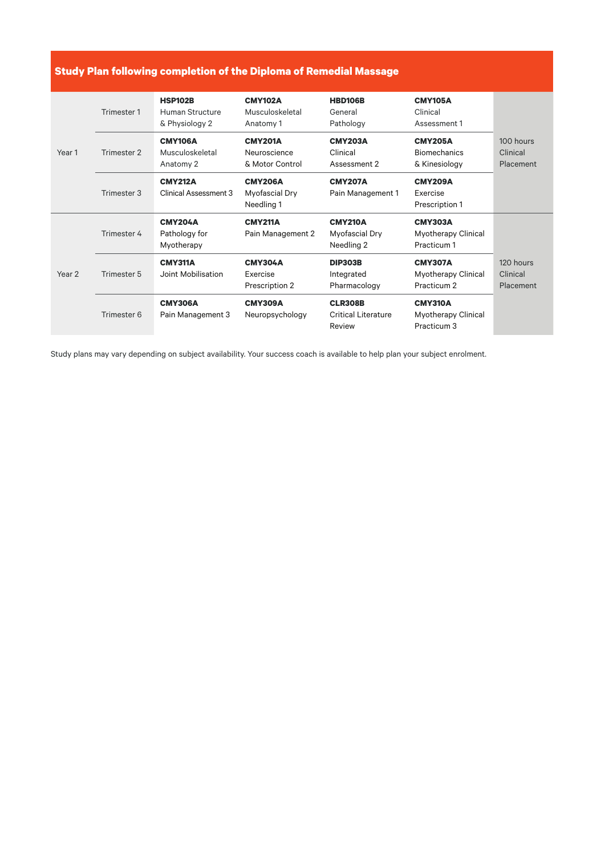## **Study Plan following completion of the Diploma of Remedial Massage**

| Year 1            | Trimester 1 | <b>HSP102B</b><br>Human Structure<br>& Physiology 2 | <b>CMY102A</b><br>Musculoskeletal<br>Anatomy 1    | <b>HBD106B</b><br>General<br>Pathology                 | <b>CMY105A</b><br>Clinical<br>Assessment 1                  |                                    |
|-------------------|-------------|-----------------------------------------------------|---------------------------------------------------|--------------------------------------------------------|-------------------------------------------------------------|------------------------------------|
|                   | Trimester 2 | <b>CMY106A</b><br>Musculoskeletal<br>Anatomy 2      | <b>CMY201A</b><br>Neuroscience<br>& Motor Control | <b>CMY203A</b><br>Clinical<br>Assessment 2             | <b>CMY205A</b><br><b>Biomechanics</b><br>& Kinesiology      | 100 hours<br>Clinical<br>Placement |
|                   | Trimester 3 | <b>CMY212A</b><br>Clinical Assessment 3             | <b>CMY206A</b><br>Myofascial Dry<br>Needling 1    | <b>CMY207A</b><br>Pain Management 1                    | <b>CMY209A</b><br>Exercise<br>Prescription 1                |                                    |
|                   | Trimester 4 | <b>CMY204A</b><br>Pathology for<br>Myotherapy       | <b>CMY211A</b><br>Pain Management 2               | <b>CMY210A</b><br>Myofascial Dry<br>Needling 2         | <b>CMY303A</b><br><b>Myotherapy Clinical</b><br>Practicum 1 |                                    |
| Year <sub>2</sub> | Trimester 5 | <b>CMY311A</b><br>Joint Mobilisation                | <b>CMY304A</b><br>Exercise<br>Prescription 2      | <b>DIP303B</b><br>Integrated<br>Pharmacology           | <b>CMY307A</b><br><b>Myotherapy Clinical</b><br>Practicum 2 | 120 hours<br>Clinical<br>Placement |
|                   | Trimester 6 | <b>CMY306A</b><br>Pain Management 3                 | <b>CMY309A</b><br>Neuropsychology                 | <b>CLR308B</b><br><b>Critical Literature</b><br>Review | <b>CMY310A</b><br>Myotherapy Clinical<br>Practicum 3        |                                    |

Study plans may vary depending on subject availability. Your success coach is available to help plan your subject enrolment.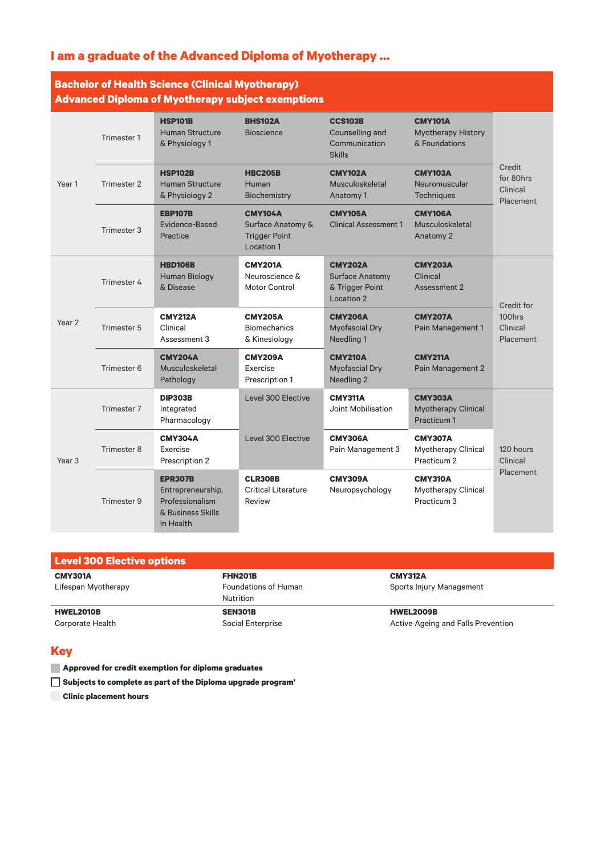# **I am a graduate of the Advanced Diploma of Myotherapy …**

# **Bachelor of Health Science (Clinical Myotherapy) Advanced Diploma of Myotherapy subject exemptions**

| Advanced Diploma of Myotherapy subject exemptions |             |                                                                                          |                                                                           |                                                                     |                                                              |                                               |
|---------------------------------------------------|-------------|------------------------------------------------------------------------------------------|---------------------------------------------------------------------------|---------------------------------------------------------------------|--------------------------------------------------------------|-----------------------------------------------|
| Year 1                                            | Trimester 1 | <b>HSP101B</b><br><b>Human Structure</b><br>& Physiology 1                               | <b>BHS102A</b><br><b>Bioscience</b>                                       | <b>CCS103B</b><br>Counselling and<br>Communication<br><b>Skills</b> | <b>CMY101A</b><br><b>Myotherapy History</b><br>& Foundations | Credit<br>for 80hrs<br>Clinical<br>Placement  |
|                                                   | Trimester 2 | <b>HSP102B</b><br><b>Human Structure</b><br>& Physiology 2                               | <b>HBC205B</b><br>Human<br>Biochemistry                                   | <b>CMY102A</b><br>Musculoskeletal<br>Anatomy 1                      | <b>CMY103A</b><br>Neuromuscular<br><b>Techniques</b>         |                                               |
|                                                   | Trimester 3 | <b>EBP107B</b><br>Evidence-Based<br>Practice                                             | <b>CMY104A</b><br>Surface Anatomy &<br><b>Trigger Point</b><br>Location 1 | <b>CMY105A</b><br><b>Clinical Assessment 1</b>                      | <b>CMY106A</b><br>Musculoskeletal<br>Anatomy 2               |                                               |
|                                                   | Trimester 4 | <b>HBD106B</b><br>Human Biology<br>& Disease                                             | <b>CMY201A</b><br>Neuroscience &<br><b>Motor Control</b>                  | <b>CMY202A</b><br>Surface Anatomy<br>& Trigger Point<br>Location 2  | <b>CMY203A</b><br>Clinical<br>Assessment 2                   | Credit for<br>100hrs<br>Clinical<br>Placement |
| Year 2                                            | Trimester 5 | <b>CMY212A</b><br>Clinical<br>Assessment 3                                               | <b>CMY205A</b><br><b>Biomechanics</b><br>& Kinesiology                    | <b>CMY206A</b><br><b>Myofascial Dry</b><br>Needling 1               | <b>CMY207A</b><br>Pain Management 1                          |                                               |
|                                                   | Trimester 6 | <b>CMY204A</b><br>Musculoskeletal<br>Pathology                                           | <b>CMY209A</b><br>Exercise<br>Prescription 1                              | <b>CMY210A</b><br><b>Myofascial Dry</b><br>Needling 2               | <b>CMY211A</b><br>Pain Management 2                          |                                               |
| Year <sub>3</sub>                                 | Trimester 7 | <b>DIP303B</b><br>Integrated<br>Pharmacology                                             | Level 300 Elective                                                        | <b>CMY311A</b><br>Joint Mobilisation                                | <b>CMY303A</b><br><b>Myotherapy Clinical</b><br>Practicum 1  |                                               |
|                                                   | Trimester 8 | <b>CMY304A</b><br>Exercise<br>Prescription 2                                             | Level 300 Elective                                                        | <b>CMY306A</b><br>Pain Management 3                                 | <b>CMY307A</b><br>Myotherapy Clinical<br>Practicum 2         | 120 hours<br>Clinical                         |
|                                                   | Trimester 9 | <b>EPR307B</b><br>Entrepreneurship,<br>Professionalism<br>& Business Skills<br>in Health | <b>CLR308B</b><br><b>Critical Literature</b><br>Review                    | <b>CMY309A</b><br>Neuropsychology                                   | <b>CMY310A</b><br>Myotherapy Clinical<br>Practicum 3         | Placement                                     |

| <b>Level 300 Elective options</b> |                             |                                    |
|-----------------------------------|-----------------------------|------------------------------------|
| <b>CMY301A</b>                    | <b>FHN201B</b>              | <b>CMY312A</b>                     |
| Lifespan Myotherapy               | <b>Foundations of Human</b> | Sports Injury Management           |
|                                   | <b>Nutrition</b>            |                                    |
| <b>HWEL2010B</b>                  | <b>SEN301B</b>              | <b>HWEL2009B</b>                   |
| Corporate Health                  | Social Enterprise           | Active Ageing and Falls Prevention |

## **Key**

**Approved for credit exemption for diploma graduates**

**Subjects to complete as part of the Diploma upgrade program'**

**Clinic placement hours**